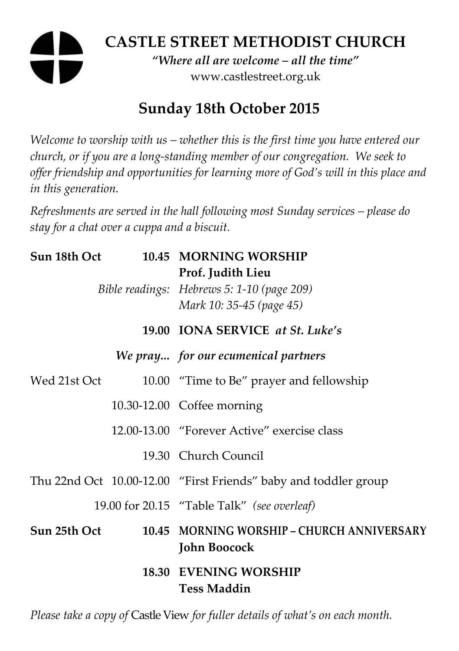# **CASTLE STREET METHODIST CHURCH**

*"Where all are welcome – all the time"*  www.castlestreet.org.uk

## **Sunday 18th October 2015**

*Welcome to worship with us – whether this is the first time you have entered our church, or if you are a long-standing member of our congregation. We seek to offer friendship and opportunities for learning more of God's will in this place and in this generation.* 

*Refreshments are served in the hall following most Sunday services – please do stay for a chat over a cuppa and a biscuit.* 

| Sun 18th Oct |  | 10.45 MORNING WORSHIP<br>Prof. Judith Lieu<br>Bible readings: Hebrews 5: 1-10 (page 209)<br>Mark 10: 35-45 (page 45) |
|--------------|--|----------------------------------------------------------------------------------------------------------------------|
|              |  | 19.00 IONA SERVICE at St. Luke's                                                                                     |
|              |  | We pray for our ecumenical partners                                                                                  |
| Wed 21st Oct |  | 10.00 "Time to Be" prayer and fellowship                                                                             |
|              |  | 10.30-12.00 Coffee morning                                                                                           |
|              |  | 12.00-13.00 "Forever Active" exercise class                                                                          |
|              |  | 19.30 Church Council                                                                                                 |
|              |  | Thu 22nd Oct 10.00-12.00 "First Friends" baby and toddler group                                                      |
|              |  | 19.00 for 20.15 "Table Talk" (see overleaf)                                                                          |
| Sun 25th Oct |  | 10.45 MORNING WORSHIP - CHURCH ANNIVERSARY<br><b>John Boocock</b>                                                    |
|              |  | <b>18.30 EVENING WORSHIP</b><br><b>Tess Maddin</b>                                                                   |

*Please take a copy of* Castle View *for fuller details of what's on each month.*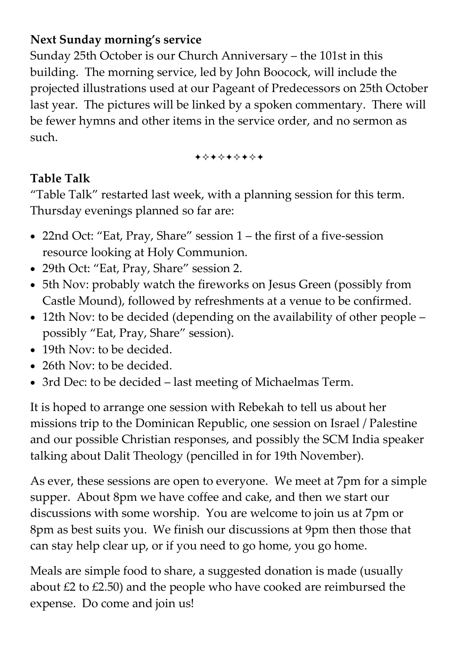#### **Next Sunday morning's service**

Sunday 25th October is our Church Anniversary – the 101st in this building. The morning service, led by John Boocock, will include the projected illustrations used at our Pageant of Predecessors on 25th October last year. The pictures will be linked by a spoken commentary. There will be fewer hymns and other items in the service order, and no sermon as such.

+\*+\*\*\*\*+

#### **Table Talk**

"Table Talk" restarted last week, with a planning session for this term. Thursday evenings planned so far are:

- 22nd Oct: "Eat, Pray, Share" session 1 the first of a five-session resource looking at Holy Communion.
- 29th Oct: "Eat, Pray, Share" session 2.
- 5th Nov: probably watch the fireworks on Jesus Green (possibly from Castle Mound), followed by refreshments at a venue to be confirmed.
- 12th Nov: to be decided (depending on the availability of other people possibly "Eat, Pray, Share" session).
- 19th Nov<sup>-</sup> to be decided.
- 26th Nov: to be decided.
- 3rd Dec: to be decided last meeting of Michaelmas Term.

It is hoped to arrange one session with Rebekah to tell us about her missions trip to the Dominican Republic, one session on Israel / Palestine and our possible Christian responses, and possibly the SCM India speaker talking about Dalit Theology (pencilled in for 19th November).

As ever, these sessions are open to everyone. We meet at 7pm for a simple supper. About 8pm we have coffee and cake, and then we start our discussions with some worship. You are welcome to join us at 7pm or 8pm as best suits you. We finish our discussions at 9pm then those that can stay help clear up, or if you need to go home, you go home.

Meals are simple food to share, a suggested donation is made (usually about  $£2$  to  $£2.50$ ) and the people who have cooked are reimbursed the expense. Do come and join us!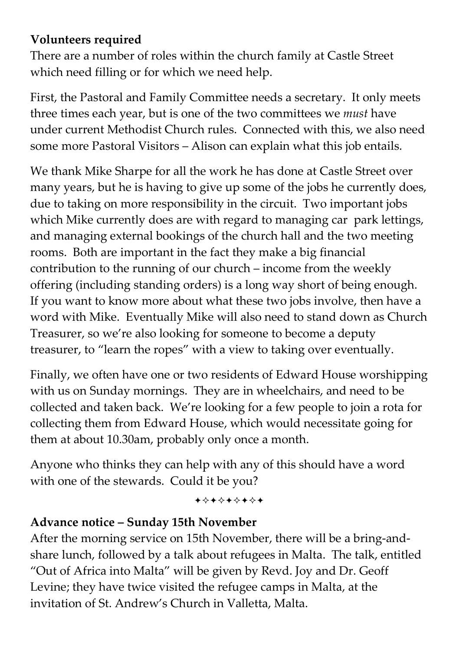#### **Volunteers required**

There are a number of roles within the church family at Castle Street which need filling or for which we need help.

First, the Pastoral and Family Committee needs a secretary. It only meets three times each year, but is one of the two committees we *must* have under current Methodist Church rules. Connected with this, we also need some more Pastoral Visitors – Alison can explain what this job entails.

We thank Mike Sharpe for all the work he has done at Castle Street over many years, but he is having to give up some of the jobs he currently does, due to taking on more responsibility in the circuit. Two important jobs which Mike currently does are with regard to managing car park lettings, and managing external bookings of the church hall and the two meeting rooms. Both are important in the fact they make a big financial contribution to the running of our church – income from the weekly offering (including standing orders) is a long way short of being enough. If you want to know more about what these two jobs involve, then have a word with Mike. Eventually Mike will also need to stand down as Church Treasurer, so we're also looking for someone to become a deputy treasurer, to "learn the ropes" with a view to taking over eventually.

Finally, we often have one or two residents of Edward House worshipping with us on Sunday mornings. They are in wheelchairs, and need to be collected and taken back. We're looking for a few people to join a rota for collecting them from Edward House, which would necessitate going for them at about 10.30am, probably only once a month.

Anyone who thinks they can help with any of this should have a word with one of the stewards. Could it be you?

+\*\*\*\*\*\*\*

#### **Advance notice – Sunday 15th November**

After the morning service on 15th November, there will be a bring-andshare lunch, followed by a talk about refugees in Malta. The talk, entitled "Out of Africa into Malta" will be given by Revd. Joy and Dr. Geoff Levine; they have twice visited the refugee camps in Malta, at the invitation of St. Andrew's Church in Valletta, Malta.